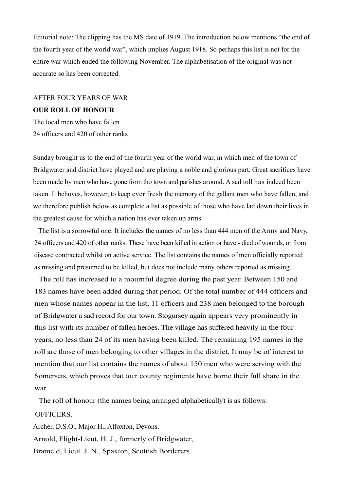Editorial note: The clipping has the MS date of 1919. The introduction below mentions "the end of the fourth year of the world war", which implies August 1918. So perhaps this list is not for the entire war which ended the following November. The alphabetisation of the original was not accurate so has been corrected.

# AFTER FOUR YEARS OF WAR **OUR ROLL OF HONOUR**

The local men who have fallen 24 officers and 420 of other ranks

Sunday brought us to the end of the fourth year of the world war, in which men of the town of Bridgwater and district have played and are playing a noble and glorious part. Great sacrifices have been made by men who have gone from tho town and parishes around. A sad toll has indeed been taken. It behoves, however, to keep ever fresh the memory of the gallant men who have fallen, and we therefore publish below as complete a list as possible of those who have lad down their lives in the greatest cause for which a nation has ever taken up arms.

The list is a sorrowful one. It includes the names of no less than 444 men of the Army and Navy, 24 officers and 420 of other ranks. These have been killed in action or have - died of wounds, or from disease contracted whilst on active service. The list contains the names of men officially reported as missing and presumed to be killed, but does not include many others reported as missing.

The roll has increased to a mournful degree during the past year. Between 150 and 183 names have been added during that period. Of the total number of 444 officers and men whose names appear in the list, 11 officers and 238 men belonged to the borough of Bridgwater a sad record for our town. Stogursey again appears very prominently in this list with its number of fallen heroes. The village has suffered heavily in the four years, no less than 24 of its men having been killed. The remaining 195 names in the roll are those of men belonging to other villages in the district. It may be of interest to mention that our list contains the names of about 150 men who were serving with the Somersets, which proves that our county regiments have borne their full share in the war.

The roll of honour (the names being arranged alphabetically) is as follows:

#### OFFICERS.

Archer, D.S.O., Major H., Alfoxton, Devons. Arnold, Flight-Lieut, H. J., formerly of Bridgwater, Brameld, Lieut. J. N., Spaxton, Scottish Borderers.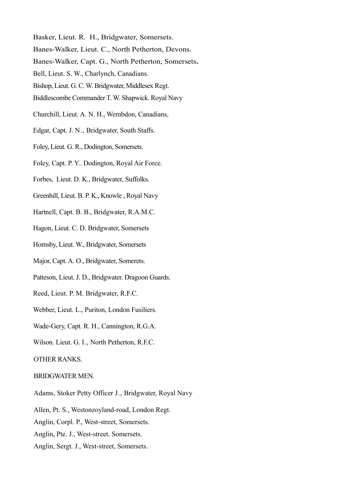- Basker, Lieut. R. H., Bridgwater, Somersets.
- Banes-Walker, Lieut. C., North Petherton, Devons.
- Banes-Walker, Capt. G., North Petherton, Somersets**.**
- Bell, Lieut. S. W., Charlynch, Canadians.
- Bishop, Lieut. G. C. W. Bridgwater, Middlesex Regt.
- Biddlescombe Commander T. W. Shapwick. Royal Navy
- Churchill, Lieut. A. N. H., Wembdon, Canadians,
- Edgar, Capt*,* J. N., Bridgwater, South Staffs.
- Foley, Lieut. G. R., Dodington, Somersets.
- Foley, Capt. P. Y.. Dodington, Royal Air Force.
- Forbes, Lieut. D. K., Bridgwater, Suffolks.
- Greenhill, Lieut. B. P. K., Knowle , Royal Navy
- Hartnell, Capt. B. B., Bridgwater, R.A.M.C.
- Hagon, Lieut. C. D. Bridgwater, Somersets
- Hornsby, Lieut. W., Bridgwater, Somersets
- Major, Capt. A. O., Bridgwater, Somerets.
- Patteson, Lieut. J. D., Bridgwater. Dragoon Guards.
- Reed, Lieut. P. M. Bridgwater, R.F.C.
- Webber, Lieut. L., Puriton, London Fusiliers.
- Wade-Gery, Capt. R. H., Cannington, R.G.A.
- Wilson. Lieut. G. I., North Petherton, R.F.C.
- OTHER RANKS.

### BRIDGWATER MEN.

- Adams, Stoker Petty Officer J., Bridgwater, Royal Navy
- Allen, Pt. S., Westonzoyland-road, London Regt.
- Anglin, Corpl. P., West-street, Somersets.
- Anglin, Pte. J., West-street. Somersets.
- Anglin, Sergt. J., West-street, Somersets.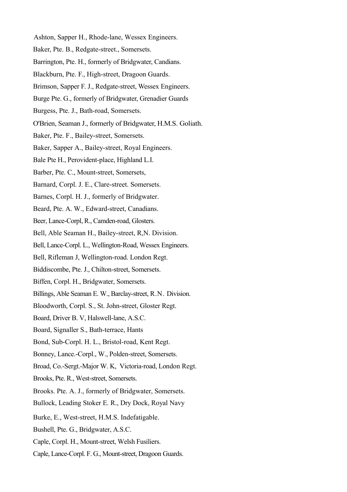- Ashton, Sapper H., Rhode-lane, Wessex Engineers.
- Baker, Pte. B., Redgate-street., Somersets.
- Barrington, Pte. H., formerly of Bridgwater, Candians.
- Blackburn, Pte. F., High-street, Dragoon Guards.
- Brimson, Sapper F. J., Redgate-street, Wessex Engineers.
- Burge Pte. G., formerly of Bridgwater, Grenadier Guards
- Burgess, Pte. J., Bath-road, Somersets.
- O'Brien, Seaman J., formerly of Bridgwater, H.M.S. Goliath.
- Baker, Pte. F., Bailey-street, Somersets.
- Baker, Sapper A., Bailey-street, Royal Engineers.
- Bale Pte H., Perovident-place, Highland L.I.
- Barber, Pte. C., Mount-street, Somersets,
- Barnard, Corpl. J. E., Clare-street. Somersets.
- Barnes, Corpl. H. J., formerly of Bridgwater.
- Beard, Pte. A. W., Edward-street, Canadians.
- Beer, Lance-Corpl, R., Camden-road, Glosters.
- Bell, Able Seaman H., Bailey-street, R,N. Division.
- Bell, Lance-Corpl. L., Wellington-Road, Wessex Engineers.
- Bell, Rifleman J, Wellington-road. London Regt.
- Biddiscombe, Pte. J., Chilton-street, Somersets.
- Biffen, Corpl. H., Bridgwater, Somersets.
- Billings, Able Seaman E. W., Barclay-street, R.N. Division.
- Bloodworth, Corpl. S., St. John-street, Gloster Regt.
- Board, Driver B. V, Halswell-lane, A.S.C.
- Board, Signaller S., Bath-terrace, Hants
- Bond, Sub-Corpl. H. L., Bristol-road, Kent Regt.
- Bonney, Lance.-Corpl., W., Polden-street, Somersets.
- Broad, Co.-Sergt.-Major W. K, Victoria-road, London Regt.
- Brooks, Pte. R., West-street, Somersets.
- Brooks. Pte. A. J., formerly of Bridgwater, Somersets.
- Bullock, Leading Stoker E. R., Dry Dock, Royal Navy
- Burke, E., West-street, H.M.S. Indefatigable.
- Bushell, Pte. G., Bridgwater, A.S.C.
- Caple, Corpl. H., Mount-street, Welsh Fusiliers.
- Caple, Lance-Corpl. F. G., Mount-street, Dragoon Guards.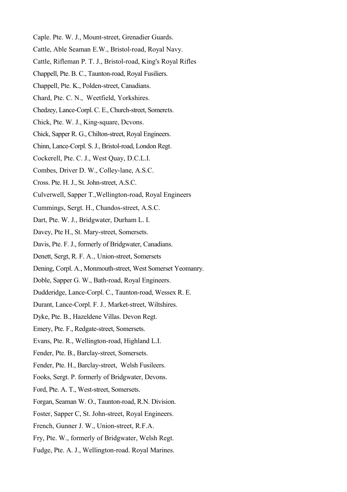- Caple. Pte. W. J., Mount-street, Grenadier Guards.
- Cattle, Able Seaman E.W., Bristol-road, Royal Navy.
- Cattle, Rifleman P. T. J., Bristol-road, King's Royal Rifles
- Chappell, Pte. B. C., Taunton-road, Royal Fusiliers.
- Chappell, Pte. K., Polden-street, Canadians.
- Chard, Pte. C. N., Weetfield, Yorkshires.
- Chedzey, Lance-Corpl. C. E., Church-street, Somerets.
- Chick, Pte. W. J., King-square, Dcvons.
- Chick, Sapper R. G., Chilton-street, Royal Engineers.
- Chinn, Lance-Corpl. S. J., Bristol-road, London Regt.
- Cockerell, Pte. C. J., West Quay, D.C.L.I.
- Combes, Driver D. W., Colley-lane, A.S.C.
- Cross. Pte. H. J., St. John-street, A.S.C.
- Culverwell, Sapper T.,Wellington-road, Royal Engineers
- Cummings, Sergt. H., Chandos-street, A.S.C.
- Dart, Pte. W. J., Bridgwater, Durham L. I.
- Davey, Pte H., St. Mary-street, Somersets.
- Davis, Pte. F. J., formerly of Bridgwater, Canadians.
- Denett, Sergt, R. F. A., Union-street, Somersets
- Dening, Corpl. A., Monmouth-street, West Somerset Yeomanry.
- Doble, Sapper G. W., Bath-road, Royal Engineers.
- Dudderidge, Lance-Corpl. C., Taunton-road, Wessex R. E.
- Durant, Lance-Corpl. F. J*.,* Market-street, Wiltshires.
- Dyke, Pte. B., Hazeldene Villas. Devon Regt.
- Emery, Pte. F., Redgate-street, Somersets.
- Evans, Pte. R., Wellington-road, Highland L.I.
- Fender, Pte. B., Barclay-street, Somersets.
- Fender, Pte. H., Barclay-street, Welsh Fusileers.
- Fooks, Sergt. P. formerly of Bridgwater, Devons.
- Ford, Pte. A. T., West-street, Somersets.
- Forgan, Seaman W. O., Taunton-road, R.N. Division.
- Foster, Sapper C, St. John-street, Royal Engineers.
- French, Gunner J. W., Union-street, R.F.A.
- Fry, Pte. W., formerly of Bridgwater, Welsh Regt.
- Fudge, Pte. A. J., Wellington-road. Royal Marines.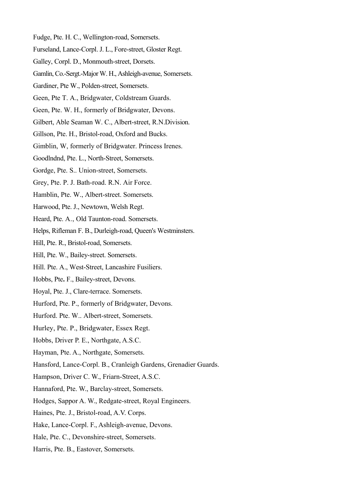- Fudge, Pte. H. C., Wellington-road, Somersets.
- Furseland, Lance-Corpl. J. L., Fore-street, Gloster Regt.
- Galley, Corpl. D., Monmouth-street, Dorsets.
- Gamlin, Co.-Sergt.-Major W. H., Ashleigh-avenue, Somersets.
- Gardiner, Pte W., Polden-street, Somersets.
- Geen, Pte T. A., Bridgwater, Coldstream Guards.
- Geen, Pte. W. H., formerly of Bridgwater, Devons.
- Gilbert, Able Seaman W. C., Albert-street, R.N.Division.
- Gillson, Pte. H., Bristol-road, Oxford and Bucks.
- Gimblin, W, formerly of Bridgwater. Princess Irenes.
- Goodlndnd, Pte. L., North-Street, Somersets.
- Gordge, Pte. S., Union-street, Somersets.
- Grey, Pte. P. J. Bath-road. R.N. Air Force.
- Hamblin, Pte. W., Albert-street. Somersets.
- Harwood, Pte. J., Newtown, Welsh Regt.
- Heard, Pte. A., Old Taunton-road. Somersets.
- Helps, Rifleman F. B., Durleigh-road, Queen's Westminsters.
- Hill, Pte. R., Bristol-road, Somersets.
- Hill, Pte. W., Bailey-street. Somersets.
- Hill. Pte. A., West-Street, Lancashire Fusiliers.
- Hobbs, Pte**.** F., Bailey-street, Devons.
- Hoyal, Pte. J., Clare-terrace. Somersets.
- Hurford, Pte. P., formerly of Bridgwater, Devons.
- Hurford. Pte. W.. Albert-street, Somersets.
- Hurley, Pte. P., Bridgwater, Essex Regt.
- Hobbs, Driver P. E., Northgate, A.S.C.
- Hayman, Pte. A., Northgate, Somersets.
- Hansford, Lance-Corpl. B., Cranleigh Gardens, Grenadier Guards.
- Hampson, Driver C. W., Friarn-Street, A.S.C.
- Hannaford, Pte. W., Barclay-street, Somersets.
- Hodges, Sappor A. W., Redgate-street, Royal Engineers.
- Haines, Pte. J., Bristol-road, A.V. Corps.
- Hake, Lance-Corpl. F., Ashleigh-avenue, Devons.
- Hale, Pte. C., Devonshire-street, Somersets.
- Harris, Pte. B., Eastover, Somersets.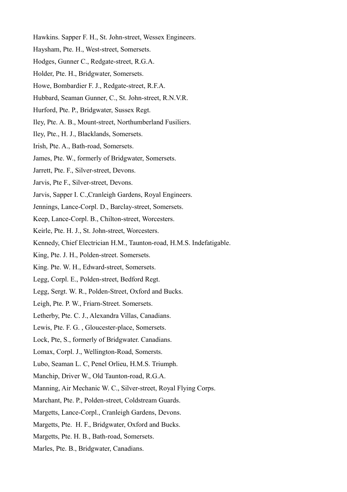- Hawkins. Sapper F. H., St. John-street, Wessex Engineers.
- Haysham, Pte. H., West-street, Somersets.
- Hodges, Gunner C., Redgate-street, R.G.A.
- Holder, Pte. H., Bridgwater, Somersets.
- Howe, Bombardier F. J., Redgate-street, R.F.A.
- Hubbard, Seaman Gunner, C., St. John-street, R.N.V.R.
- Hurford, Pte. P., Bridgwater, Sussex Regt.
- Iley, Pte. A. B., Mount-street, Northumberland Fusiliers.
- Iley, Pte., H. J., Blacklands, Somersets.
- Irish, Pte. A., Bath-road, Somersets.
- James, Pte. W., formerly of Bridgwater, Somersets.
- Jarrett, Pte. F., Silver-street, Devons.
- Jarvis, Pte F., Silver-street, Devons.
- Jarvis, Sapper I. C.,Cranleigh Gardens, Royal Engineers.
- Jennings, Lance-Corpl. D., Barclay-street, Somersets.
- Keep, Lance-Corpl. B., Chilton-street, Worcesters.
- Keirle, Pte. H. J., St. John-street, Worcesters.
- Kennedy, Chief Electrician H.M., Taunton-road, H.M.S. Indefatigable.
- King, Pte. J. H., Polden-street. Somersets.
- King. Pte. W. H., Edward-street, Somersets.
- Legg, Corpl. E., Polden-street, Bedford Regt.
- Legg, Sergt. W. R., Polden-Street, Oxford and Bucks.
- Leigh, Pte. P. W., Friarn-Street. Somersets.
- Letherby, Pte. C. J., Alexandra Villas, Canadians.
- Lewis, Pte. F. G. , Gloucester-place, Somersets.
- Lock, Pte, S., formerly of Bridgwater. Canadians.
- Lomax, Corpl. J., Wellington-Road, Somersts.
- Lubo, Seaman L. C, Penel Orlieu, H.M.S. Triumph.
- Manchip, Driver W., Old Taunton-road, R.G.A.
- Manning, Air Mechanic W. C., Silver-street, Royal Flying Corps.
- Marchant, Pte. P., Polden-street, Coldstream Guards.
- Margetts, Lance-Corpl., Cranleigh Gardens, Devons.
- Margetts, Pte. H. F., Bridgwater, Oxford and Bucks.
- Margetts, Pte. H. B., Bath-road, Somersets.
- Marles, Pte. B., Bridgwater, Canadians.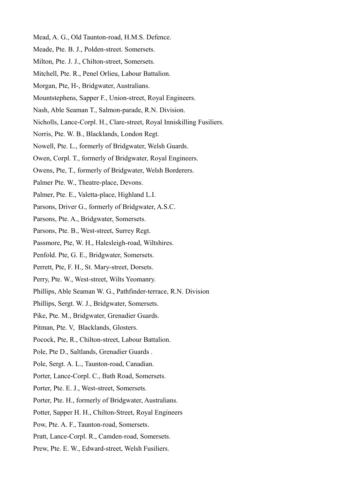- Mead, A. G., Old Taunton-road, H.M.S. Defence.
- Meade, Pte. B. J., Polden-street. Somersets.
- Milton, Pte. J. J., Chilton-street, Somersets.
- Mitchell, Pte. R., Penel Orlieu, Labour Battalion.
- Morgan, Pte, H-, Bridgwater, Australians.
- Mountstephens, Sapper F., Union-street, Royal Engineers.
- Nash, Able Seaman T., Salmon-parade, R.N. Division.
- Nicholls, Lance-Corpl. H., Clare-street, Royal Inniskilling Fusiliers.
- Norris, Pte. W. B., Blacklands, London Regt.
- Nowell, Pte. L., formerly of Bridgwater, Welsh Guards.
- Owen, Corpl. T., formerly of Bridgwater, Royal Engineers.
- Owens, Pte, T., formerly of Bridgwater, Welsh Borderers.
- Palmer Pte. W., Theatre-place, Devons.
- Palmer, Pte. E., Valetta-place, Highland L.I.
- Parsons, Driver G., formerly of Bridgwater, A.S.C.
- Parsons, Pte. A., Bridgwater, Somersets.
- Parsons, Pte. B., West-street, Surrey Regt.
- Passmore, Pte, W. H., Halesleigh-road, Wiltshires.
- Penfold. Pte, G. E., Bridgwater, Somersets.
- Perrett, Pte, F. H., St. Mary-street, Dorsets.
- Perry, Pte. W., West-street, Wilts Yeomanry.
- Phillips, Able Seaman W. G., Pathfinder-terrace, R.N. Division
- Phillips, Sergt. W. J., Bridgwater, Somersets.
- Pike, Pte. M., Bridgwater, Grenadier Guards.
- Pitman, Pte. V, Blacklands, Glosters.
- Pocock, Pte, R., Chilton-street, Labour Battalion.
- Pole, Pte D., Saltlands, Grenadier Guards .
- Pole, Sergt. A. L., Taunton-road, Canadian.
- Porter, Lance-Corpl. C., Bath Road, Somersets.
- Porter, Pte. E. J., West-street, Somersets.
- Porter, Pte. H., formerly of Bridgwater, Australians.
- Potter, Sapper H. H., Chilton-Street, Royal Engineers
- Pow, Pte. A. F., Taunton-road, Somersets.
- Pratt, Lance-Corpl. R., Camden-road, Somersets.
- Prew, Pte. E. W., Edward-street, Welsh Fusiliers.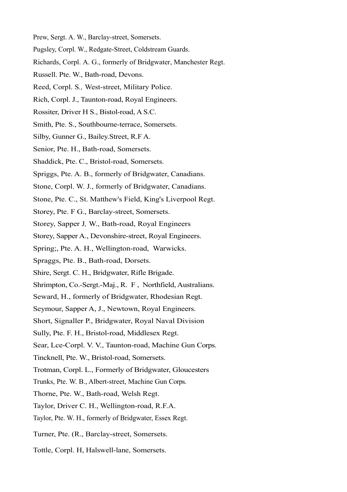- Prew, Sergt. A. W., Barclay-street, Somersets.
- Pugsley, Corpl. W., Redgate-Street, Coldstream Guards.
- Richards, Corpl. A. G., formerly of Bridgwater, Manchester Regt.
- Russell. Pte. W., Bath-road, Devons.
- Reed, Corpl. S*.,* West-street, Military Police.
- Rich, Corpl. J., Taunton-road, Royal Engineers.
- Rossiter, Driver H S., Bistol-road, A S.C.
- Smith, Pte. S., Southbourne-terrace, Somersets.
- Silby, Gunner G., Bailey.Street, R.F A.
- Senior, Pte. H., Bath-road, Somersets.
- Shaddick, Pte. C., Bristol-road, Somersets.
- Spriggs, Pte. A. B., formerly of Bridgwater, Canadians.
- Stone, Corpl. W. J., formerly of Bridgwater, Canadians.
- Stone, Pte. C., St. Matthew's Field, King's Liverpool Regt.
- Storey, Pte. F G., Barclay-street, Somersets.
- Storey, Sapper J*,* W., Bath-road, Royal Engineers
- Storey, Sapper A., Devonshire-street, Royal Engineers.
- Spring;, Pte. A. H., Wellington-road, Warwicks.
- Spraggs, Pte. B., Bath-road, Dorsets.
- Shire, Sergt. C. H., Bridgwater, Rifle Brigade.
- Shrimpton, Co.-Sergt.-Maj., R. F , Northfield, Australians.
- Seward, H., formerly of Bridgwater, Rhodesian Regt.
- Seymour, Sapper A, J., Newtown, Royal Engineers.
- Short, Signaller P., Bridgwater, Royal Naval Division
- Sully, Pte. F. H., Bristol-road, Middlesex Regt.
- Sear, Lce-Corpl. V. V., Taunton-road, Machine Gun Corps.
- Tincknell, Pte. W., Bristol-road, Somersets.
- Trotman, Corpl. L., Formerly of Bridgwater, Gloucesters
- Trunks, Pte. W. B., Albert-street, Machine Gun Corps.
- Thorne, Pte. W., Bath-road, Welsh Regt.
- Taylor, Driver C. H., Wellington-road, R.F.A.
- Taylor, Pte. W. H., formerly of Bridgwater, Essex Regt.
- Turner, Pte. (R., Barclay-street, Somersets.
- Tottle, Corpl. H, Halswell-lane, Somersets.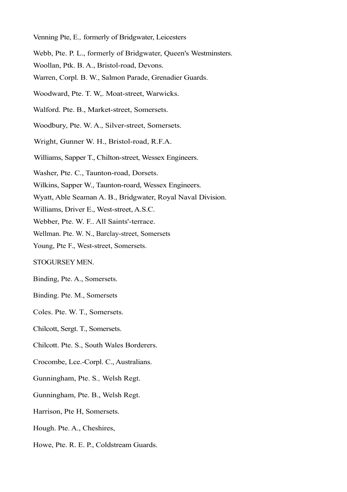- Venning Pte, E*.,* formerly of Bridgwater, Leicesters
- Webb, Pte. P. L., formerly of Bridgwater, Queen's Westminsters.
- Woollan, Ptk. B. A., Bristol-road, Devons.
- Warren, Corpl. B. W., Salmon Parade, Grenadier Guards.
- Woodward, Pte. T. W,. Moat-street, Warwicks.
- Walford. Pte. B., Market-street, Somersets.
- Woodbury, Pte. W. A., Silver-street, Somersets.
- Wright, Gunner W. H., Bristol-road, R.F.A.
- Williams, Sapper T., Chilton-street, Wessex Engineers.
- Washer, Pte. C., Taunton-road, Dorsets.
- Wilkins, Sapper W., Taunton-roard, Wessex Engineers.
- Wyatt, Able Seaman A. B., Bridgwater, Royal Naval Division.
- Williams, Driver E., West-street, A.S.C.
- Webber, Pte. W. F.. All Saints'-terrace.
- Wellman. Pte. W. N., Barclay-street, Somersets
- Young, Pte F., West-street, Somersets.

#### STOGURSEY MEN.

- Binding, Pte. A., Somersets.
- Binding. Pte. M., Somersets
- Coles. Pte. W. T., Somersets.
- Chilcott, Sergt. T., Somersets.
- Chilcott. Pte. S., South Wales Borderers.
- Crocombe, Lce.-Corpl. C., Australians.
- Gunningham, Pte. S*.,* Welsh Regt.
- Gunningham, Pte. B., Welsh Regt.
- Harrison, Pte H, Somersets.
- Hough. Pte. A., Cheshires,
- Howe, Pte. R. E. P., Coldstream Guards.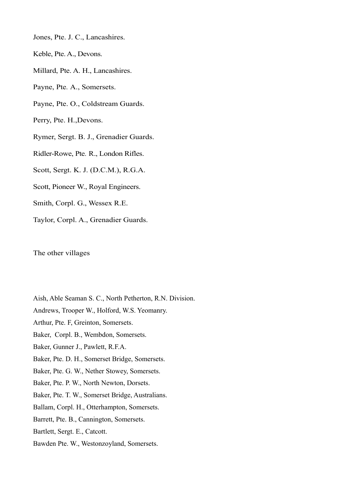- Jones, Pte. J. C., Lancashires.
- Keble, Pte. A., Devons.
- Millard, Pte. A. H., Lancashires.
- Payne, Pte*.* A., Somersets.
- Payne, Pte. O., Coldstream Guards.
- Perry, Pte. H.,Devons.
- Rymer, Sergt. B. J., Grenadier Guards.
- Ridler-Rowe, Pte*.* R., London Rifles.
- Scott, Sergt. K. J. (D.C.M.), R.G.A.
- Scott, Pioneer W., Royal Engineers.
- Smith, Corpl. G., Wessex R.E.
- Taylor, Corpl. A., Grenadier Guards.

The other villages

- Aish, Able Seaman S. C., North Petherton, R.N. Division.
- Andrews, Trooper W., Holford, W.S. Yeomanry.
- Arthur, Pte. F, Greinton, Somersets.
- Baker, Corpl. B., Wembdon, Somersets.
- Baker, Gunner J., Pawlett, R.F.A.
- Baker, Pte. D. H., Somerset Bridge, Somersets.
- Baker, Pte. G. W., Nether Stowey, Somersets.
- Baker, Pte. P. W., North Newton, Dorsets.
- Baker, Pte. T. W., Somerset Bridge, Australians.
- Ballam, Corpl. H., Otterhampton, Somersets.
- Barrett, Pte. B., Cannington, Somersets.
- Bartlett, Sergt. E., Catcott.
- Bawden Pte. W., Westonzoyland, Somersets.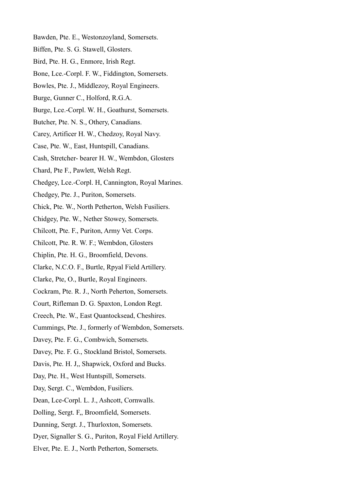- Bawden, Pte. E., Westonzoyland, Somersets.
- Biffen, Pte. S. G. Stawell, Glosters.
- Bird, Pte. H. G., Enmore, Irish Regt.
- Bone, Lce.-Corpl. F. W., Fiddington, Somersets.
- Bowles, Pte. J., Middlezoy, Royal Engineers.
- Burge, Gunner C., Holford, R.G.A.
- Burge, Lce.-Corpl. W. H., Goathurst, Somersets.
- Butcher, Pte. N. S., Othery, Canadians.
- Carey, Artificer H. W., Chedzoy, Royal Navy.
- Case, Pte. W., East, Huntspill, Canadians.
- Cash, Stretcher- bearer H. W., Wembdon, Glosters
- Chard, Pte F., Pawlett, Welsh Regt.
- Chedgey, Lce.-Corpl. H, Cannington, Royal Marines.
- Chedgey, Pte. J., Puriton, Somersets.
- Chick, Pte. W., North Petherton, Welsh Fusiliers.
- Chidgey, Pte. W., Nether Stowey, Somersets.
- Chilcott, Pte. F., Puriton, Army Vet. Corps.
- Chilcott, Pte. R. W. F.; Wembdon, Glosters
- Chiplin, Pte. H. G., Broomfield, Devons.
- Clarke, N.C.O. F., Burtle, Rpyal Field Artillery.
- Clarke, Pte, O., Burtle, Royal Engineers.
- Cockram, Pte. R. J., North Peherton, Somersets.
- Court, Rifleman D. G. Spaxton, London Regt.
- Creech, Pte. W., East Quantocksead, Cheshires.
- Cummings, Pte. J., formerly of Wembdon, Somersets.
- Davey, Pte. F. G., Combwich, Somersets.
- Davey, Pte. F. G., Stockland Bristol, Somersets.
- Davis, Pte. H. J,, Shapwick, Oxford and Bucks.
- Day, Pte. H., West Huntspill, Somersets.
- Day, Sergt. C., Wembdon, Fusiliers.
- Dean, Lce-Corpl. L. J., Ashcott, Cornwalls.
- Dolling, Sergt. F,, Broomfield, Somersets.
- Dunning, Sergt. J., Thurloxton, Somersets.
- Dyer, Signaller S. G., Puriton, Royal Field Artillery.
- Elver, Pte. E. J., North Petherton, Somersets.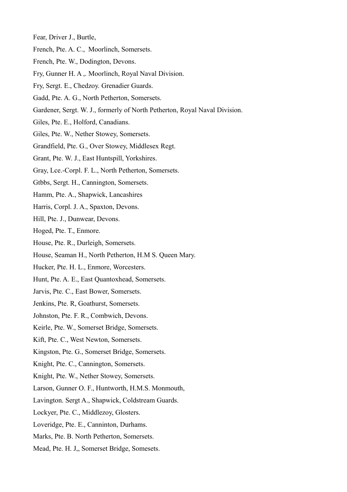Fear, Driver J., Burtle,

- French, Pte. A. C., Moorlinch, Somersets.
- French, Pte. W., Dodington, Devons.
- Fry, Gunner H. A ,. Moorlinch, Royal Naval Division.
- Fry, Sergt. E., Chedzoy. Grenadier Guards.
- Gadd, Pte. A. G., North Petherton, Somersets.
- Gardener, Sergt. W. J., formerly of North Petherton, Royal Naval Division.
- Giles, Pte. E., Holford, Canadians.
- Giles, Pte. W., Nether Stowey, Somersets.
- Grandfield, Pte. G., Over Stowey, Middlesex Regt.
- Grant, Pte. W. J., East Huntspill, Yorkshires.
- Gray, Lce.-Corpl. F. L., North Petherton, Somersets.
- Gtbbs, Sergt. H., Cannington, Somersets.
- Hamm, Pte. A., Shapwick, Lancashires
- Harris, Corpl. J. A., Spaxton, Devons.
- Hill, Pte. J., Dunwear, Devons.
- Hoged, Pte. T., Enmore.
- House, Pte. R., Durleigh, Somersets.
- House, Seaman H., North Petherton, H.M S. Queen Mary.
- Hucker, Pte. H. L., Enmore, Worcesters.
- Hunt, Pte. A. E., East Quantoxhead, Somersets.
- Jarvis, Pte. C., East Bower, Somersets.
- Jenkins, Pte. R, Goathurst, Somersets.
- Johnston, Pte. F. R., Combwich, Devons.
- Keirle, Pte. W., Somerset Bridge, Somersets.
- Kift, Pte. C., West Newton, Somersets.
- Kingston, Pte. G., Somerset Bridge, Somersets.
- Knight, Pte. C., Cannington, Somersets.
- Knight, Pte. W., Nether Stowey, Somersets.
- Larson, Gunner O. F., Huntworth, H.M.S. Monmouth,
- Lavington. Sergt A., Shapwick, Coldstream Guards.
- Lockyer, Pte. C., Middlezoy, Glosters.
- Loveridge, Pte. E., Canninton, Durhams.
- Marks, Pte. B. North Petherton, Somersets.
- Mead, Pte. H. J,, Somerset Bridge, Somesets.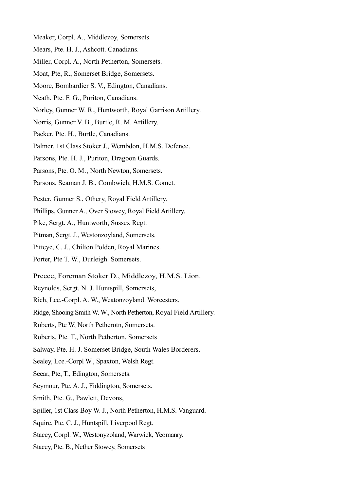- Meaker, Corpl. A., Middlezoy, Somersets.
- Mears, Pte. H. J., Ashcott. Canadians.
- Miller, Corpl. A., North Petherton, Somersets.
- Moat, Pte, R., Somerset Bridge, Somersets.
- Moore, Bombardier S. V., Edington, Canadians.
- Neath, Pte. F. G., Puriton, Canadians.
- Norley, Gunner W. R., Huntworth, Royal Garrison Artillery.
- Norris, Gunner V. B., Burtle, R. M. Artillery.
- Packer, Pte. H., Burtle, Canadians.
- Palmer, 1st Class Stoker J., Wembdon, H.M.S. Defence.
- Parsons, Pte. H. J., Puriton, Dragoon Guards.
- Parsons, Pte. O. M., North Newton, Somersets.
- Parsons, Seaman J. B., Combwich, H.M.S. Comet.
- Pester, Gunner S., Othery, Royal Field Artillery.
- Phillips, Gunner A*.,* Over Stowey, Royal Field Artillery.
- Pike, Sergt. A., Huntworth, Sussex Regt.
- Pitman, Sergt. J., Westonzoyland, Somersets.
- Pitteye, C. J., Chilton Polden, Royal Marines.
- Porter, Pte T. W., Durleigh. Somersets.
- Preece, Foreman Stoker D., Middlezoy, H.M.S. Lion.
- Reynolds, Sergt. N. J. Huntspill, Somersets,
- Rich, Lce.-Corpl. A. W., Weatonzoyland. Worcesters.
- Ridge, Shooing Smith W. W., North Petherton, Royal Field Artillery.
- Roberts, Pte W, North Petherotn, Somersets.
- Roberts, Pte*.* T., North Petherton, Somersets
- Salway, Pte. H. J. Somerset Bridge, South Wales Borderers.
- Sealey, Lce.-Corpl W., Spaxton, Welsh Regt.
- Seear, Pte, T., Edington, Somersets.
- Seymour, Pte. A. J., Fiddington, Somersets.
- Smith, Pte. G., Pawlett, Devons,
- Spiller, 1st Class Boy W. J., North Petherton, H.M.S. Vanguard.
- Squire, Pte. C. J., Huntspill, Liverpool Regt.
- Stacey, Corpl. W., Westonyzoland, Warwick, Yeomanry.
- Stacey, Pte. B., Nether Stowey, Somersets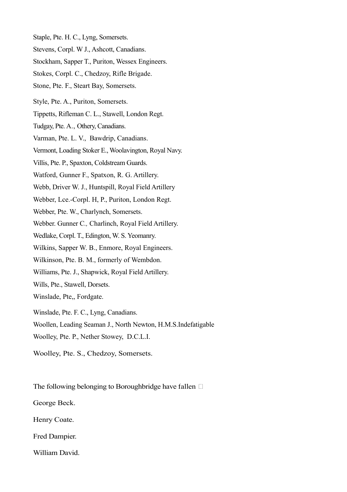- Staple, Pte. H. C., Lyng, Somersets.
- Stevens, Corpl. W J., Ashcott, Canadians.
- Stockham, Sapper T., Puriton, Wessex Engineers.
- Stokes, Corpl. C., Chedzoy, Rifle Brigade.
- Stone, Pte. F., Steart Bay, Somersets.
- Style, Pte. A., Puriton, Somersets.
- Tippetts, Rifleman C. L., Stawell, London Regt.
- Tudgay, Pte. A., Othery, Canadians.
- Varman, Pte. L. V., Bawdrip, Canadians.
- Vermont, Loading Stoker E., Woolavington, Royal Navy.
- Villis, Pte. P., Spaxton, Coldstream Guards.
- Watford, Gunner F., Spatxon, R. G. Artillery.
- Webb, Driver W. J., Huntspill, Royal Field Artillery
- Webber, Lce.-Corpl. H, P., Puriton, London Regt.
- Webber, Pte. W., Charlynch, Somersets.
- Webber. Gunner C*.,* Charlinch, Royal Field Artillery.
- Wedlake, Corpl. T., Edington, W. S. Yeomanry.
- Wilkins, Sapper W. B., Enmore, Royal Engineers.
- Wilkinson, Pte. B. M., formerly of Wembdon.
- Williams, Pte. J., Shapwick, Royal Field Artillery.
- Wills, Pte., Stawell, Dorsets.
- Winslade, Pte,, Fordgate.
- Winslade, Pte. F. C., Lyng, Canadians.
- Woollen, Leading Seaman J., North Newton, H.M.S.Indefatigable
- Woolley, Pte. P., Nether Stowey, D.C.L.I.
- Woolley, Pte. S., Chedzoy, Somersets.

The following belonging to Boroughbridge have fallen  $\Box$ 

- George Beck.
- Henry Coate.
- Fred Dampier.
- William David.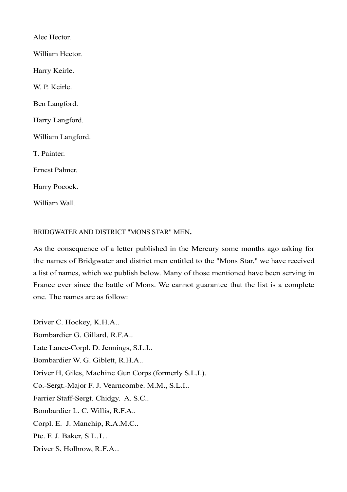Alec Hector. William Hector. Harry Keirle. W. P. Keirle. Ben Langford. Harry Langford. William Langford. T. Painter. Ernest Palmer. Harry Pocock. William Wall.

## BRIDGWATER AND DISTRICT "MONS STAR" MEN**.**

As the consequence of a letter published in the Mercury some months ago asking for the names of Bridgwater and district men entitled to the "Mons Star," we have received a list of names, which we publish below. Many of those mentioned have been serving in France ever since the battle of Mons. We cannot guarantee that the list is a complete one. The names are as follow:

Driver C. Hockey, K.H.A.. Bombardier G. Gillard, R.F.A.. Late Lance-Corpl. D. Jennings, S.L.I.. Bombardier W. G. Giblett, R.H.A.. Driver H, Giles, Machine Gun Corps (formerly S.L.I.). Co.-Sergt.-Major F. J. Vearncombe. M.M., S.L.I.. Farrier Staff-Sergt. Chidgy. A. S.C.. Bombardier L. C. Willis, R.F.A.. Corpl. E. J. Manchip, R.A.M.C.. Pte. F. J. Baker, S L.I.. Driver S, Holbrow, R.F.A..